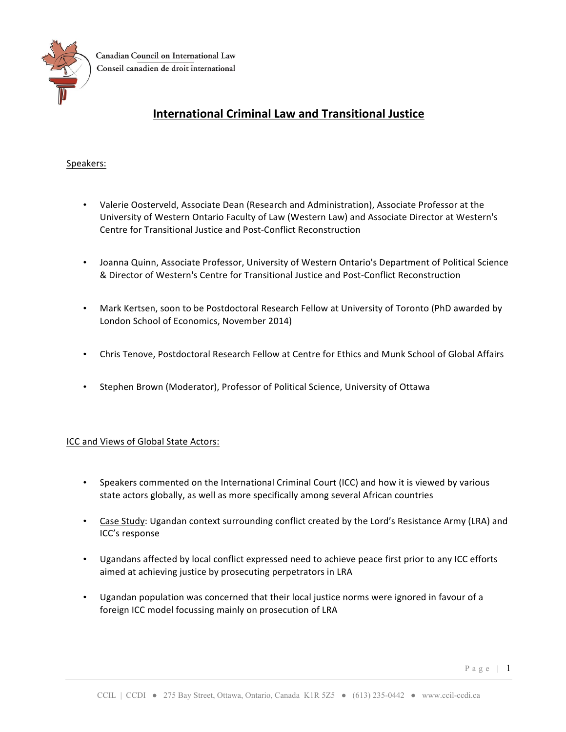

# **International Criminal Law and Transitional Justice**

## Speakers:

- Valerie Oosterveld, Associate Dean (Research and Administration), Associate Professor at the University of Western Ontario Faculty of Law (Western Law) and Associate Director at Western's Centre for Transitional Justice and Post-Conflict Reconstruction
- Joanna Quinn, Associate Professor, University of Western Ontario's Department of Political Science & Director of Western's Centre for Transitional Justice and Post-Conflict Reconstruction
- Mark Kertsen, soon to be Postdoctoral Research Fellow at University of Toronto (PhD awarded by London School of Economics, November 2014)
- Chris Tenove, Postdoctoral Research Fellow at Centre for Ethics and Munk School of Global Affairs
- Stephen Brown (Moderator), Professor of Political Science, University of Ottawa

### ICC and Views of Global State Actors:

- Speakers commented on the International Criminal Court (ICC) and how it is viewed by various state actors globally, as well as more specifically among several African countries
- Case Study: Ugandan context surrounding conflict created by the Lord's Resistance Army (LRA) and ICC's response
- Ugandans affected by local conflict expressed need to achieve peace first prior to any ICC efforts aimed at achieving justice by prosecuting perpetrators in LRA
- Ugandan population was concerned that their local justice norms were ignored in favour of a foreign ICC model focussing mainly on prosecution of LRA

Page | 1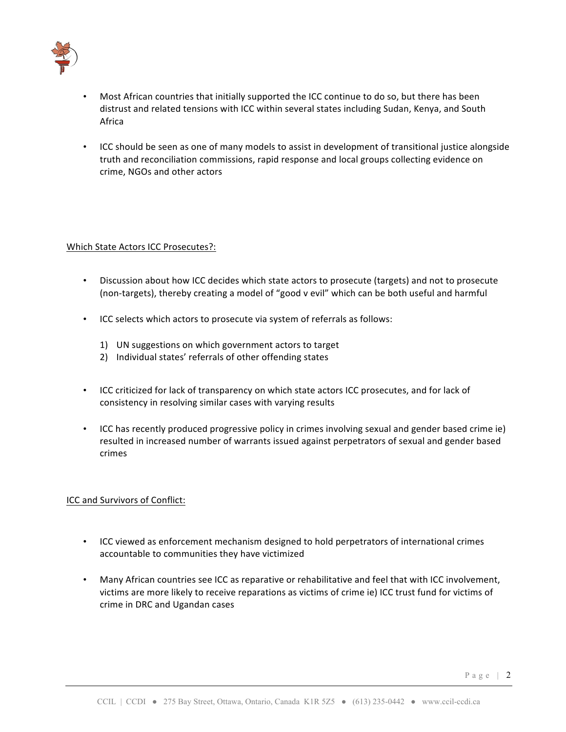

- Most African countries that initially supported the ICC continue to do so, but there has been distrust and related tensions with ICC within several states including Sudan, Kenya, and South Africa
- ICC should be seen as one of many models to assist in development of transitional justice alongside truth and reconciliation commissions, rapid response and local groups collecting evidence on crime, NGOs and other actors

### Which State Actors ICC Prosecutes?:

- Discussion about how ICC decides which state actors to prosecute (targets) and not to prosecute (non-targets), thereby creating a model of "good v evil" which can be both useful and harmful
- ICC selects which actors to prosecute via system of referrals as follows:
	- 1) UN suggestions on which government actors to target
	- 2) Individual states' referrals of other offending states
- ICC criticized for lack of transparency on which state actors ICC prosecutes, and for lack of consistency in resolving similar cases with varying results
- ICC has recently produced progressive policy in crimes involving sexual and gender based crime ie) resulted in increased number of warrants issued against perpetrators of sexual and gender based crimes

### ICC and Survivors of Conflict:

- ICC viewed as enforcement mechanism designed to hold perpetrators of international crimes accountable to communities they have victimized
- Many African countries see ICC as reparative or rehabilitative and feel that with ICC involvement, victims are more likely to receive reparations as victims of crime ie) ICC trust fund for victims of crime in DRC and Ugandan cases